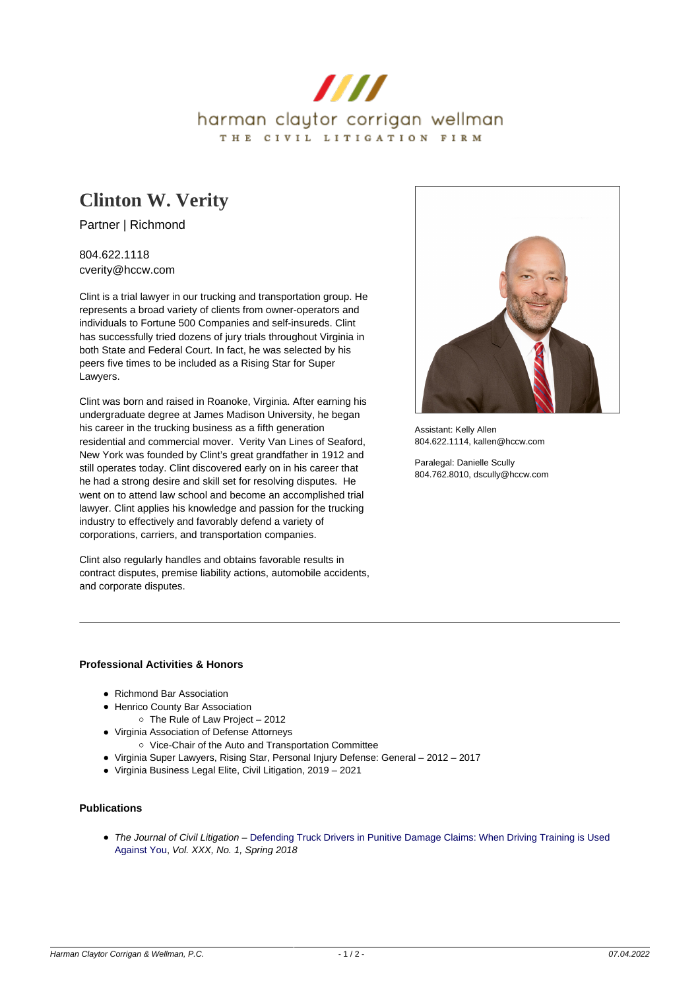

# **[Clinton W. Verity](https://www.hccw.com/attorney/clinton-w-verity/)**

Partner | Richmond

804.622.1118 cverity@hccw.com

Clint is a trial lawyer in our trucking and transportation group. He represents a broad variety of clients from owner-operators and individuals to Fortune 500 Companies and self-insureds. Clint has successfully tried dozens of jury trials throughout Virginia in both State and Federal Court. In fact, he was selected by his peers five times to be included as a Rising Star for Super Lawyers.

Clint was born and raised in Roanoke, Virginia. After earning his undergraduate degree at James Madison University, he began his career in the trucking business as a fifth generation residential and commercial mover. Verity Van Lines of Seaford, New York was founded by Clint's great grandfather in 1912 and still operates today. Clint discovered early on in his career that he had a strong desire and skill set for resolving disputes. He went on to attend law school and become an accomplished trial lawyer. Clint applies his knowledge and passion for the trucking industry to effectively and favorably defend a variety of corporations, carriers, and transportation companies.

Clint also regularly handles and obtains favorable results in contract disputes, premise liability actions, automobile accidents, and corporate disputes.



Assistant: Kelly Allen 804.622.1114, kallen@hccw.com

Paralegal: Danielle Scully 804.762.8010, dscully@hccw.com

# **Professional Activities & Honors**

- Richmond Bar Association
- Henrico County Bar Association
- The Rule of Law Project 2012
- Virginia Association of Defense Attorneys
	- o Vice-Chair of the Auto and Transportation Committee
- Virginia Super Lawyers, Rising Star, Personal Injury Defense: General 2012 2017
- Virginia Business Legal Elite, Civil Litigation, 2019 2021

#### **Publications**

• The Journal of Civil Litigation – [Defending Truck Drivers in Punitive Damage Claims: When Driving Training is Used](https://www.hccw.com/wp-content/uploads/2018/05/Defending-Truck-Drivers-in-Punitive-Damage-Claims-When-Driver-Training-Is-Used-Against-You-Clinton-W.-Verity.pdf) [Against You](https://www.hccw.com/wp-content/uploads/2018/05/Defending-Truck-Drivers-in-Punitive-Damage-Claims-When-Driver-Training-Is-Used-Against-You-Clinton-W.-Verity.pdf), Vol. XXX, No. 1, Spring 2018